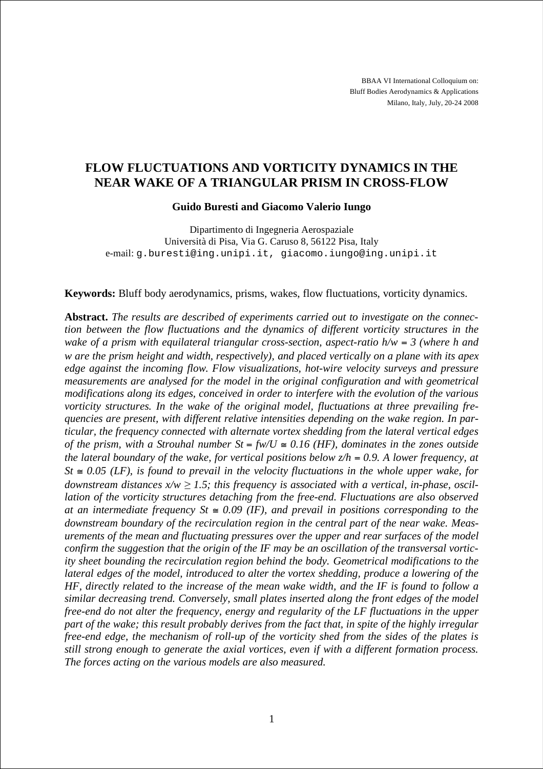BBAA VI International Colloquium on: Bluff Bodies Aerodynamics & Applications Milano, Italy, July, 20-24 2008

# **FLOW FLUCTUATIONS AND VORTICITY DYNAMICS IN THE NEAR WAKE OF A TRIANGULAR PRISM IN CROSS-FLOW**

#### **Guido Buresti and Giacomo Valerio Iungo**

Dipartimento di Ingegneria Aerospaziale Università di Pisa, Via G. Caruso 8, 56122 Pisa, Italy e-mail: g.buresti@ing.unipi.it, giacomo.iungo@ing.unipi.it

**Keywords:** Bluff body aerodynamics, prisms, wakes, flow fluctuations, vorticity dynamics.

**Abstract.** *The results are described of experiments carried out to investigate on the connection between the flow fluctuations and the dynamics of different vorticity structures in the wake of a prism with equilateral triangular cross-section, aspect-ratio h/w = 3 (where h and w are the prism height and width, respectively), and placed vertically on a plane with its apex edge against the incoming flow. Flow visualizations, hot-wire velocity surveys and pressure measurements are analysed for the model in the original configuration and with geometrical modifications along its edges, conceived in order to interfere with the evolution of the various vorticity structures. In the wake of the original model, fluctuations at three prevailing frequencies are present, with different relative intensities depending on the wake region. In particular, the frequency connected with alternate vortex shedding from the lateral vertical edges of the prism, with a Strouhal number St = fw/U*  $\cong$  *0.16 (HF), dominates in the zones outside the lateral boundary of the wake, for vertical positions below*  $z/h = 0.9$ *. A lower frequency, at*  $St \cong 0.05$  (LF), is found to prevail in the velocity fluctuations in the whole upper wake, for downstream distances  $x/w \geq 1.5$ ; this frequency is associated with a vertical, in-phase, oscil*lation of the vorticity structures detaching from the free-end. Fluctuations are also observed at an intermediate frequency St*  $\approx 0.09$  *(IF), and prevail in positions corresponding to the downstream boundary of the recirculation region in the central part of the near wake. Measurements of the mean and fluctuating pressures over the upper and rear surfaces of the model confirm the suggestion that the origin of the IF may be an oscillation of the transversal vorticity sheet bounding the recirculation region behind the body. Geometrical modifications to the lateral edges of the model, introduced to alter the vortex shedding, produce a lowering of the HF, directly related to the increase of the mean wake width, and the IF is found to follow a similar decreasing trend. Conversely, small plates inserted along the front edges of the model free-end do not alter the frequency, energy and regularity of the LF fluctuations in the upper part of the wake; this result probably derives from the fact that, in spite of the highly irregular free-end edge, the mechanism of roll-up of the vorticity shed from the sides of the plates is still strong enough to generate the axial vortices, even if with a different formation process. The forces acting on the various models are also measured.*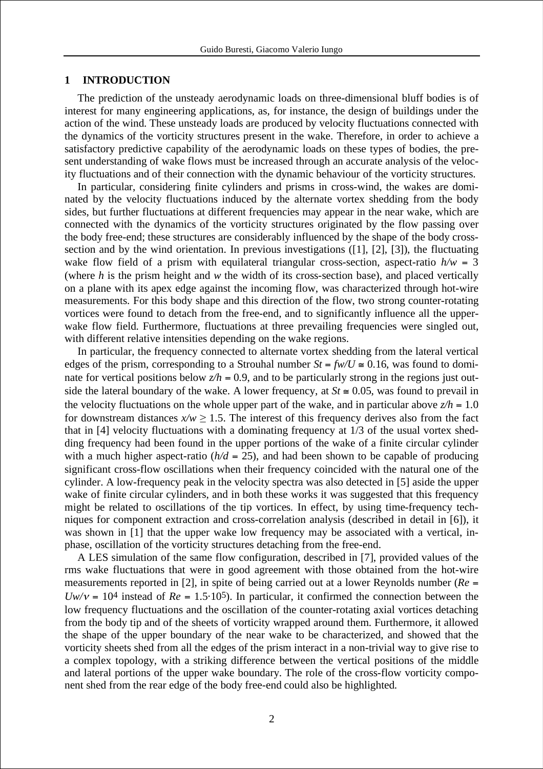## **1 INTRODUCTION**

The prediction of the unsteady aerodynamic loads on three-dimensional bluff bodies is of interest for many engineering applications, as, for instance, the design of buildings under the action of the wind. These unsteady loads are produced by velocity fluctuations connected with the dynamics of the vorticity structures present in the wake. Therefore, in order to achieve a satisfactory predictive capability of the aerodynamic loads on these types of bodies, the present understanding of wake flows must be increased through an accurate analysis of the velocity fluctuations and of their connection with the dynamic behaviour of the vorticity structures.

In particular, considering finite cylinders and prisms in cross-wind, the wakes are dominated by the velocity fluctuations induced by the alternate vortex shedding from the body sides, but further fluctuations at different frequencies may appear in the near wake, which are connected with the dynamics of the vorticity structures originated by the flow passing over the body free-end; these structures are considerably influenced by the shape of the body crosssection and by the wind orientation. In previous investigations ([1], [2], [3]), the fluctuating wake flow field of a prism with equilateral triangular cross-section, aspect-ratio  $h/w = 3$ (where *h* is the prism height and *w* the width of its cross-section base), and placed vertically on a plane with its apex edge against the incoming flow, was characterized through hot-wire measurements. For this body shape and this direction of the flow, two strong counter-rotating vortices were found to detach from the free-end, and to significantly influence all the upperwake flow field. Furthermore, fluctuations at three prevailing frequencies were singled out, with different relative intensities depending on the wake regions.

In particular, the frequency connected to alternate vortex shedding from the lateral vertical edges of the prism, corresponding to a Strouhal number  $St = f w / U \approx 0.16$ , was found to dominate for vertical positions below  $z/h = 0.9$ , and to be particularly strong in the regions just outside the lateral boundary of the wake. A lower frequency, at  $St \approx 0.05$ , was found to prevail in the velocity fluctuations on the whole upper part of the wake, and in particular above  $z/h = 1.0$ for downstream distances  $x/w \ge 1.5$ . The interest of this frequency derives also from the fact that in [4] velocity fluctuations with a dominating frequency at 1/3 of the usual vortex shedding frequency had been found in the upper portions of the wake of a finite circular cylinder with a much higher aspect-ratio  $(h/d = 25)$ , and had been shown to be capable of producing significant cross-flow oscillations when their frequency coincided with the natural one of the cylinder. A low-frequency peak in the velocity spectra was also detected in [5] aside the upper wake of finite circular cylinders, and in both these works it was suggested that this frequency might be related to oscillations of the tip vortices. In effect, by using time-frequency techniques for component extraction and cross-correlation analysis (described in detail in [6]), it was shown in [1] that the upper wake low frequency may be associated with a vertical, inphase, oscillation of the vorticity structures detaching from the free-end.

A LES simulation of the same flow configuration, described in [7], provided values of the rms wake fluctuations that were in good agreement with those obtained from the hot-wire measurements reported in [2], in spite of being carried out at a lower Reynolds number (*Re* =  $Uw/v = 104$  instead of  $Re = 1.5 \cdot 10^5$ ). In particular, it confirmed the connection between the low frequency fluctuations and the oscillation of the counter-rotating axial vortices detaching from the body tip and of the sheets of vorticity wrapped around them. Furthermore, it allowed the shape of the upper boundary of the near wake to be characterized, and showed that the vorticity sheets shed from all the edges of the prism interact in a non-trivial way to give rise to a complex topology, with a striking difference between the vertical positions of the middle and lateral portions of the upper wake boundary. The role of the cross-flow vorticity component shed from the rear edge of the body free-end could also be highlighted.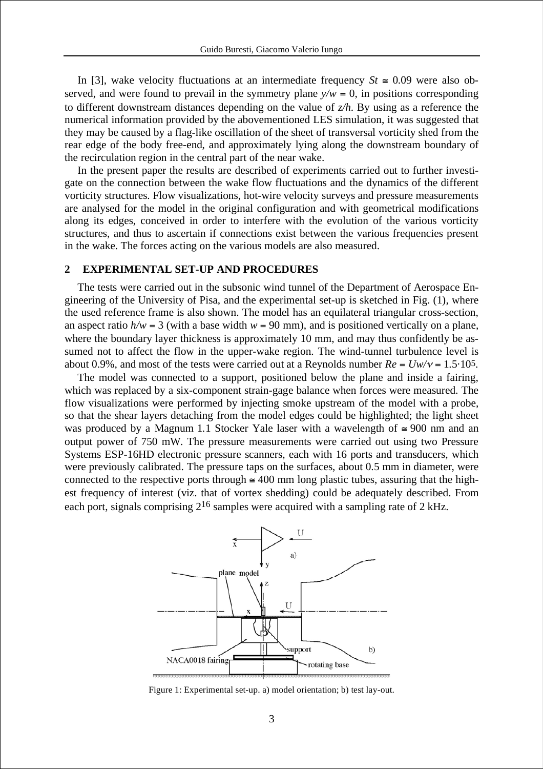In [3], wake velocity fluctuations at an intermediate frequency  $St \approx 0.09$  were also observed, and were found to prevail in the symmetry plane  $y/w = 0$ , in positions corresponding to different downstream distances depending on the value of *z/h*. By using as a reference the numerical information provided by the abovementioned LES simulation, it was suggested that they may be caused by a flag-like oscillation of the sheet of transversal vorticity shed from the rear edge of the body free-end, and approximately lying along the downstream boundary of the recirculation region in the central part of the near wake.

In the present paper the results are described of experiments carried out to further investigate on the connection between the wake flow fluctuations and the dynamics of the different vorticity structures. Flow visualizations, hot-wire velocity surveys and pressure measurements are analysed for the model in the original configuration and with geometrical modifications along its edges, conceived in order to interfere with the evolution of the various vorticity structures, and thus to ascertain if connections exist between the various frequencies present in the wake. The forces acting on the various models are also measured.

## **2 EXPERIMENTAL SET-UP AND PROCEDURES**

The tests were carried out in the subsonic wind tunnel of the Department of Aerospace Engineering of the University of Pisa, and the experimental set-up is sketched in Fig. (1), where the used reference frame is also shown. The model has an equilateral triangular cross-section, an aspect ratio  $h/w = 3$  (with a base width  $w = 90$  mm), and is positioned vertically on a plane, where the boundary layer thickness is approximately 10 mm, and may thus confidently be assumed not to affect the flow in the upper-wake region. The wind-tunnel turbulence level is about 0.9%, and most of the tests were carried out at a Reynolds number  $Re = Uw/v = 1.5 \cdot 10^5$ .

The model was connected to a support, positioned below the plane and inside a fairing, which was replaced by a six-component strain-gage balance when forces were measured. The flow visualizations were performed by injecting smoke upstream of the model with a probe, so that the shear layers detaching from the model edges could be highlighted; the light sheet was produced by a Magnum 1.1 Stocker Yale laser with a wavelength of  $\approx 900$  nm and an output power of 750 mW. The pressure measurements were carried out using two Pressure Systems ESP-16HD electronic pressure scanners, each with 16 ports and transducers, which were previously calibrated. The pressure taps on the surfaces, about 0.5 mm in diameter, were connected to the respective ports through  $\approx 400$  mm long plastic tubes, assuring that the highest frequency of interest (viz. that of vortex shedding) could be adequately described. From each port, signals comprising  $2^{16}$  samples were acquired with a sampling rate of 2 kHz.



Figure 1: Experimental set-up. a) model orientation; b) test lay-out.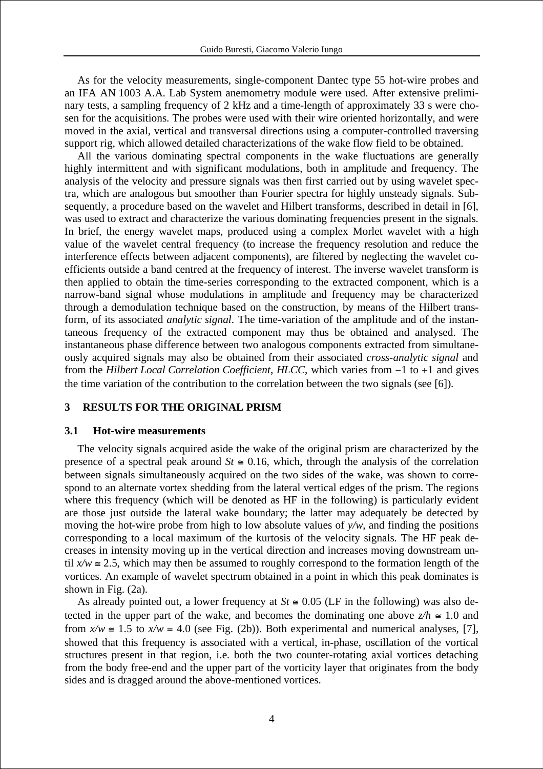As for the velocity measurements, single-component Dantec type 55 hot-wire probes and an IFA AN 1003 A.A. Lab System anemometry module were used. After extensive preliminary tests, a sampling frequency of 2 kHz and a time-length of approximately 33 s were chosen for the acquisitions. The probes were used with their wire oriented horizontally, and were moved in the axial, vertical and transversal directions using a computer-controlled traversing support rig, which allowed detailed characterizations of the wake flow field to be obtained.

All the various dominating spectral components in the wake fluctuations are generally highly intermittent and with significant modulations, both in amplitude and frequency. The analysis of the velocity and pressure signals was then first carried out by using wavelet spectra, which are analogous but smoother than Fourier spectra for highly unsteady signals. Subsequently, a procedure based on the wavelet and Hilbert transforms, described in detail in [6], was used to extract and characterize the various dominating frequencies present in the signals. In brief, the energy wavelet maps, produced using a complex Morlet wavelet with a high value of the wavelet central frequency (to increase the frequency resolution and reduce the interference effects between adjacent components), are filtered by neglecting the wavelet coefficients outside a band centred at the frequency of interest. The inverse wavelet transform is then applied to obtain the time-series corresponding to the extracted component, which is a narrow-band signal whose modulations in amplitude and frequency may be characterized through a demodulation technique based on the construction, by means of the Hilbert transform, of its associated *analytic signal*. The time-variation of the amplitude and of the instantaneous frequency of the extracted component may thus be obtained and analysed. The instantaneous phase difference between two analogous components extracted from simultaneously acquired signals may also be obtained from their associated *cross-analytic signal* and from the *Hilbert Local Correlation Coefficient*, *HLCC*, which varies from  $-1$  to  $+1$  and gives the time variation of the contribution to the correlation between the two signals (see [6]).

#### **3 RESULTS FOR THE ORIGINAL PRISM**

# **3.1 Hot-wire measurements**

The velocity signals acquired aside the wake of the original prism are characterized by the presence of a spectral peak around  $St \cong 0.16$ , which, through the analysis of the correlation between signals simultaneously acquired on the two sides of the wake, was shown to correspond to an alternate vortex shedding from the lateral vertical edges of the prism. The regions where this frequency (which will be denoted as HF in the following) is particularly evident are those just outside the lateral wake boundary; the latter may adequately be detected by moving the hot-wire probe from high to low absolute values of *y/w*, and finding the positions corresponding to a local maximum of the kurtosis of the velocity signals. The HF peak decreases in intensity moving up in the vertical direction and increases moving downstream until  $x/w \approx 2.5$ , which may then be assumed to roughly correspond to the formation length of the vortices. An example of wavelet spectrum obtained in a point in which this peak dominates is shown in Fig. (2a).

As already pointed out, a lower frequency at  $St \cong 0.05$  (LF in the following) was also detected in the upper part of the wake, and becomes the dominating one above  $z/h \approx 1.0$  and from  $x/w \approx 1.5$  to  $x/w = 4.0$  (see Fig. (2b)). Both experimental and numerical analyses, [7], showed that this frequency is associated with a vertical, in-phase, oscillation of the vortical structures present in that region, i.e. both the two counter-rotating axial vortices detaching from the body free-end and the upper part of the vorticity layer that originates from the body sides and is dragged around the above-mentioned vortices.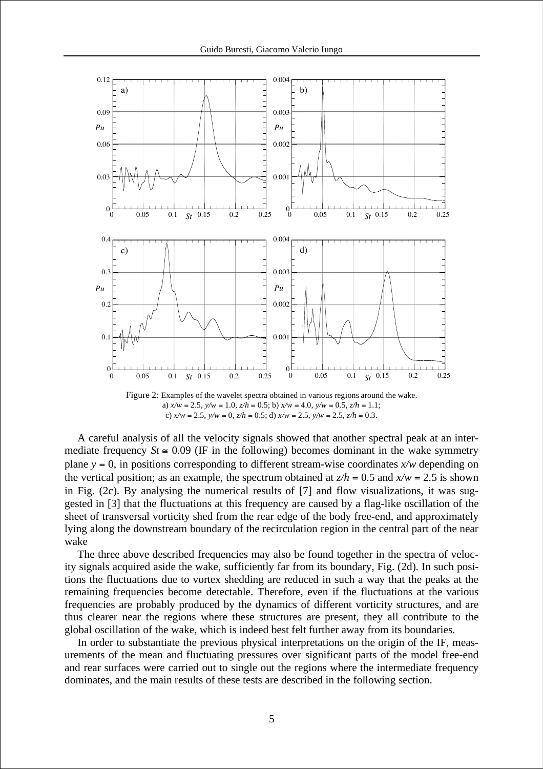

Figure 2: Examples of the wavelet spectra obtained in various regions around the wake. a)  $x/w = 2.5$ ,  $y/w = 1.0$ ,  $z/h = 0.5$ ; b)  $x/w = 4.0$ ,  $y/w = 0.5$ ,  $z/h = 1.1$ ; c) *x/w* = 2.5, *y/w* = 0, *z/h* = 0.5; d) *x/w* = 2.5, *y/w* = 2.5, *z/h* = 0.3.

A careful analysis of all the velocity signals showed that another spectral peak at an intermediate frequency  $St \approx 0.09$  (IF in the following) becomes dominant in the wake symmetry plane  $y = 0$ , in positions corresponding to different stream-wise coordinates  $x/w$  depending on the vertical position; as an example, the spectrum obtained at  $z/h = 0.5$  and  $x/w = 2.5$  is shown in Fig. (2c). By analysing the numerical results of [7] and flow visualizations, it was suggested in [3] that the fluctuations at this frequency are caused by a flag-like oscillation of the sheet of transversal vorticity shed from the rear edge of the body free-end, and approximately lying along the downstream boundary of the recirculation region in the central part of the near wake

The three above described frequencies may also be found together in the spectra of velocity signals acquired aside the wake, sufficiently far from its boundary, Fig. (2d). In such positions the fluctuations due to vortex shedding are reduced in such a way that the peaks at the remaining frequencies become detectable. Therefore, even if the fluctuations at the various frequencies are probably produced by the dynamics of different vorticity structures, and are thus clearer near the regions where these structures are present, they all contribute to the global oscillation of the wake, which is indeed best felt further away from its boundaries.

In order to substantiate the previous physical interpretations on the origin of the IF, measurements of the mean and fluctuating pressures over significant parts of the model free-end and rear surfaces were carried out to single out the regions where the intermediate frequency dominates, and the main results of these tests are described in the following section.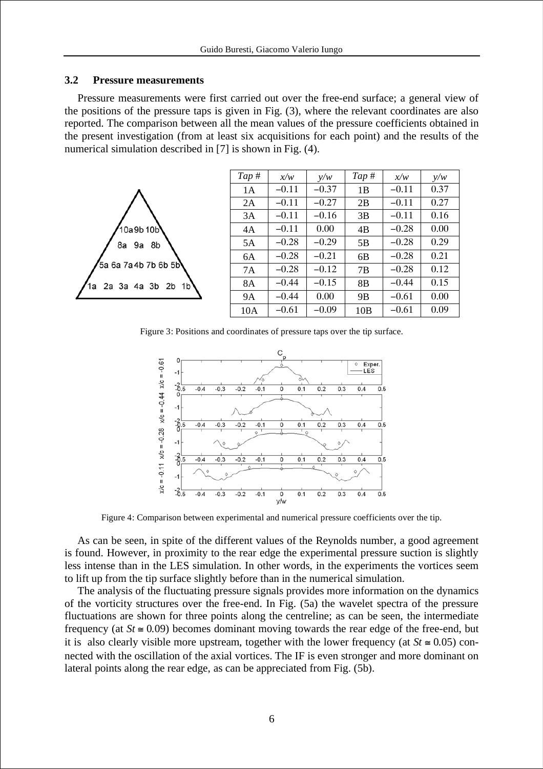## **3.2 Pressure measurements**

Pressure measurements were first carried out over the free-end surface; a general view of the positions of the pressure taps is given in Fig. (3), where the relevant coordinates are also reported. The comparison between all the mean values of the pressure coefficients obtained in the present investigation (from at least six acquisitions for each point) and the results of the numerical simulation described in [7] is shown in Fig. (4).



Figure 3: Positions and coordinates of pressure taps over the tip surface.



Figure 4: Comparison between experimental and numerical pressure coefficients over the tip.

As can be seen, in spite of the different values of the Reynolds number, a good agreement is found. However, in proximity to the rear edge the experimental pressure suction is slightly less intense than in the LES simulation. In other words, in the experiments the vortices seem to lift up from the tip surface slightly before than in the numerical simulation.

The analysis of the fluctuating pressure signals provides more information on the dynamics of the vorticity structures over the free-end. In Fig. (5a) the wavelet spectra of the pressure fluctuations are shown for three points along the centreline; as can be seen, the intermediate frequency (at  $St \cong 0.09$ ) becomes dominant moving towards the rear edge of the free-end, but it is also clearly visible more upstream, together with the lower frequency (at  $St \approx 0.05$ ) connected with the oscillation of the axial vortices. The IF is even stronger and more dominant on lateral points along the rear edge, as can be appreciated from Fig. (5b).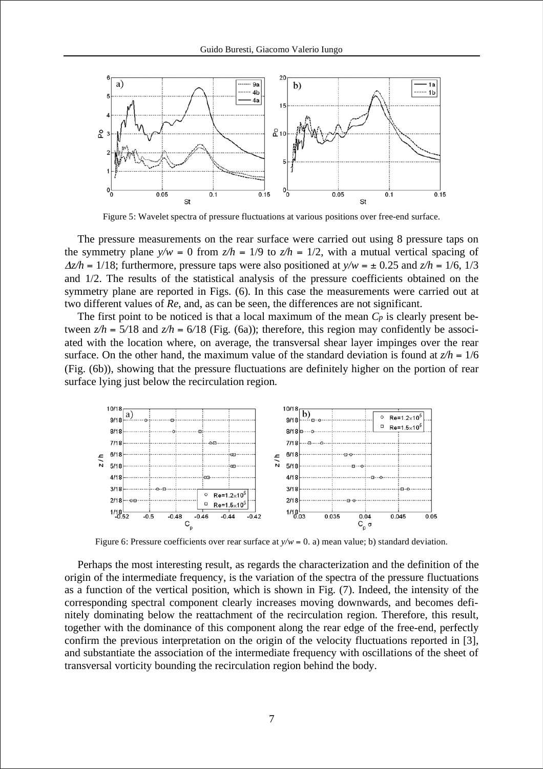

Figure 5: Wavelet spectra of pressure fluctuations at various positions over free-end surface.

The pressure measurements on the rear surface were carried out using 8 pressure taps on the symmetry plane  $y/w = 0$  from  $z/h = 1/9$  to  $z/h = 1/2$ , with a mutual vertical spacing of  $\Delta z/h = 1/18$ ; furthermore, pressure taps were also positioned at  $v/w = \pm 0.25$  and  $z/h = 1/6$ , 1/3 and 1/2. The results of the statistical analysis of the pressure coefficients obtained on the symmetry plane are reported in Figs. (6). In this case the measurements were carried out at two different values of *Re*, and, as can be seen, the differences are not significant.

The first point to be noticed is that a local maximum of the mean *Cp* is clearly present between  $z/h = 5/18$  and  $z/h = 6/18$  (Fig. (6a)); therefore, this region may confidently be associated with the location where, on average, the transversal shear layer impinges over the rear surface. On the other hand, the maximum value of the standard deviation is found at  $z/h = 1/6$ (Fig. (6b)), showing that the pressure fluctuations are definitely higher on the portion of rear surface lying just below the recirculation region.



Figure 6: Pressure coefficients over rear surface at  $y/w = 0$ . a) mean value; b) standard deviation.

Perhaps the most interesting result, as regards the characterization and the definition of the origin of the intermediate frequency, is the variation of the spectra of the pressure fluctuations as a function of the vertical position, which is shown in Fig. (7). Indeed, the intensity of the corresponding spectral component clearly increases moving downwards, and becomes definitely dominating below the reattachment of the recirculation region. Therefore, this result, together with the dominance of this component along the rear edge of the free-end, perfectly confirm the previous interpretation on the origin of the velocity fluctuations reported in [3], and substantiate the association of the intermediate frequency with oscillations of the sheet of transversal vorticity bounding the recirculation region behind the body.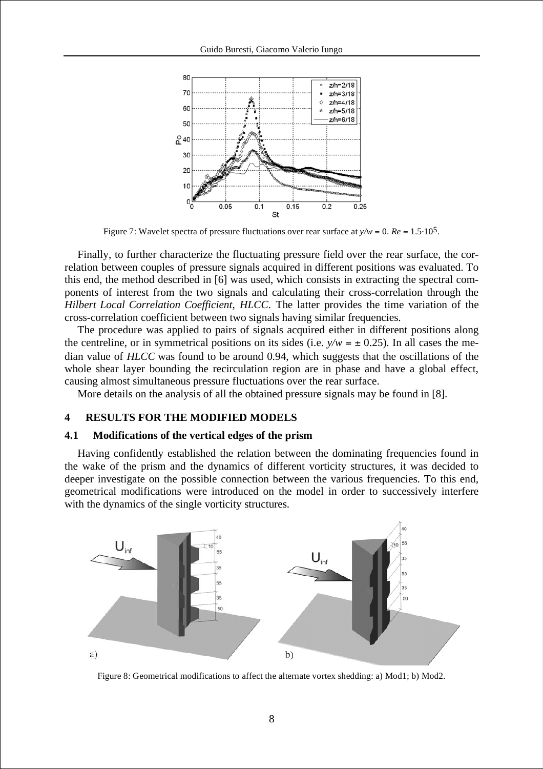

Figure 7: Wavelet spectra of pressure fluctuations over rear surface at  $y/w = 0$ .  $Re = 1.5 \cdot 10^5$ .

Finally, to further characterize the fluctuating pressure field over the rear surface, the correlation between couples of pressure signals acquired in different positions was evaluated. To this end, the method described in [6] was used, which consists in extracting the spectral components of interest from the two signals and calculating their cross-correlation through the *Hilbert Local Correlation Coefficient*, *HLCC*. The latter provides the time variation of the cross-correlation coefficient between two signals having similar frequencies.

The procedure was applied to pairs of signals acquired either in different positions along the centreline, or in symmetrical positions on its sides (i.e.  $y/w = \pm 0.25$ ). In all cases the median value of *HLCC* was found to be around 0.94, which suggests that the oscillations of the whole shear layer bounding the recirculation region are in phase and have a global effect, causing almost simultaneous pressure fluctuations over the rear surface.

More details on the analysis of all the obtained pressure signals may be found in [8].

# **4 RESULTS FOR THE MODIFIED MODELS**

#### **4.1 Modifications of the vertical edges of the prism**

Having confidently established the relation between the dominating frequencies found in the wake of the prism and the dynamics of different vorticity structures, it was decided to deeper investigate on the possible connection between the various frequencies. To this end, geometrical modifications were introduced on the model in order to successively interfere with the dynamics of the single vorticity structures.



Figure 8: Geometrical modifications to affect the alternate vortex shedding: a) Mod1; b) Mod2.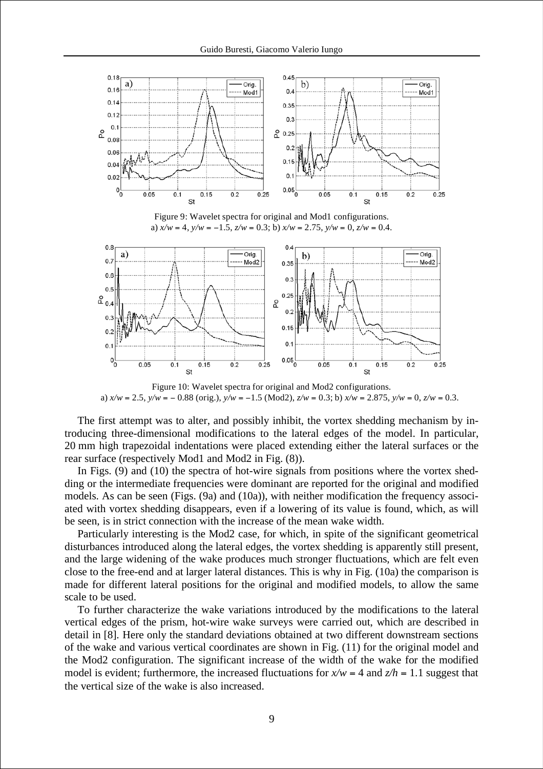

Figure 9: Wavelet spectra for original and Mod1 configurations. a)  $x/w = 4$ ,  $y/w = -1.5$ ,  $z/w = 0.3$ ; b)  $x/w = 2.75$ ,  $y/w = 0$ ,  $z/w = 0.4$ .



Figure 10: Wavelet spectra for original and Mod2 configurations. a)  $x/w = 2.5$ ,  $y/w = -0.88$  (orig.),  $y/w = -1.5$  (Mod2),  $z/w = 0.3$ ; b)  $x/w = 2.875$ ,  $y/w = 0$ ,  $z/w = 0.3$ .

The first attempt was to alter, and possibly inhibit, the vortex shedding mechanism by introducing three-dimensional modifications to the lateral edges of the model. In particular, 20 mm high trapezoidal indentations were placed extending either the lateral surfaces or the rear surface (respectively Mod1 and Mod2 in Fig. (8)).

In Figs. (9) and (10) the spectra of hot-wire signals from positions where the vortex shedding or the intermediate frequencies were dominant are reported for the original and modified models. As can be seen (Figs. (9a) and (10a)), with neither modification the frequency associated with vortex shedding disappears, even if a lowering of its value is found, which, as will be seen, is in strict connection with the increase of the mean wake width.

Particularly interesting is the Mod2 case, for which, in spite of the significant geometrical disturbances introduced along the lateral edges, the vortex shedding is apparently still present, and the large widening of the wake produces much stronger fluctuations, which are felt even close to the free-end and at larger lateral distances. This is why in Fig. (10a) the comparison is made for different lateral positions for the original and modified models, to allow the same scale to be used.

To further characterize the wake variations introduced by the modifications to the lateral vertical edges of the prism, hot-wire wake surveys were carried out, which are described in detail in [8]. Here only the standard deviations obtained at two different downstream sections of the wake and various vertical coordinates are shown in Fig. (11) for the original model and the Mod2 configuration. The significant increase of the width of the wake for the modified model is evident; furthermore, the increased fluctuations for  $x/w = 4$  and  $z/h = 1.1$  suggest that the vertical size of the wake is also increased.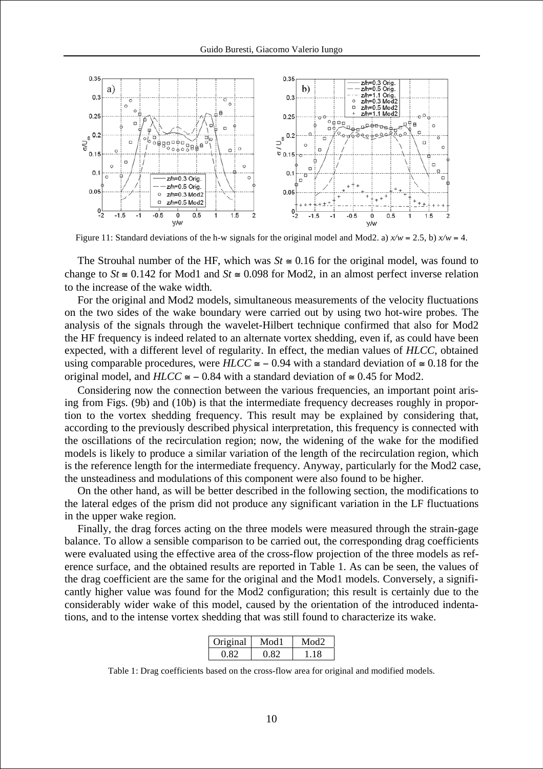

Figure 11: Standard deviations of the h-w signals for the original model and Mod2. a)  $x/w = 2.5$ , b)  $x/w = 4$ .

The Strouhal number of the HF, which was  $St \cong 0.16$  for the original model, was found to change to  $St \cong 0.142$  for Mod1 and  $St \cong 0.098$  for Mod2, in an almost perfect inverse relation to the increase of the wake width.

For the original and Mod2 models, simultaneous measurements of the velocity fluctuations on the two sides of the wake boundary were carried out by using two hot-wire probes. The analysis of the signals through the wavelet-Hilbert technique confirmed that also for Mod2 the HF frequency is indeed related to an alternate vortex shedding, even if, as could have been expected, with a different level of regularity. In effect, the median values of *HLCC*, obtained using comparable procedures, were  $H L C C \cong -0.94$  with a standard deviation of  $\cong 0.18$  for the original model, and  $H L C C \cong -0.84$  with a standard deviation of  $\cong 0.45$  for Mod2.

Considering now the connection between the various frequencies, an important point arising from Figs. (9b) and (10b) is that the intermediate frequency decreases roughly in proportion to the vortex shedding frequency. This result may be explained by considering that, according to the previously described physical interpretation, this frequency is connected with the oscillations of the recirculation region; now, the widening of the wake for the modified models is likely to produce a similar variation of the length of the recirculation region, which is the reference length for the intermediate frequency. Anyway, particularly for the Mod2 case, the unsteadiness and modulations of this component were also found to be higher.

On the other hand, as will be better described in the following section, the modifications to the lateral edges of the prism did not produce any significant variation in the LF fluctuations in the upper wake region.

Finally, the drag forces acting on the three models were measured through the strain-gage balance. To allow a sensible comparison to be carried out, the corresponding drag coefficients were evaluated using the effective area of the cross-flow projection of the three models as reference surface, and the obtained results are reported in Table 1. As can be seen, the values of the drag coefficient are the same for the original and the Mod1 models. Conversely, a significantly higher value was found for the Mod2 configuration; this result is certainly due to the considerably wider wake of this model, caused by the orientation of the introduced indentations, and to the intense vortex shedding that was still found to characterize its wake.

| $Ori\,\sigma$ inal | Mod1           | ∖⊿օժ |
|--------------------|----------------|------|
| -0.82              | $(1 \times 7)$ | 118  |

Table 1: Drag coefficients based on the cross-flow area for original and modified models.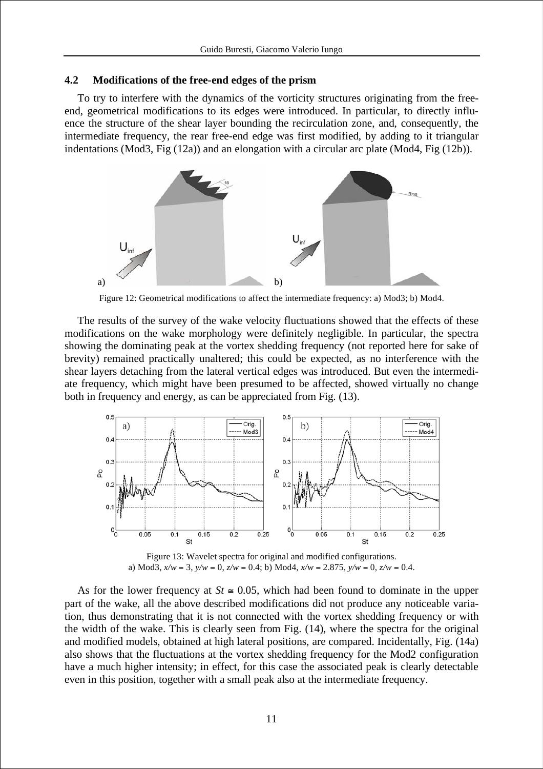## **4.2 Modifications of the free-end edges of the prism**

To try to interfere with the dynamics of the vorticity structures originating from the freeend, geometrical modifications to its edges were introduced. In particular, to directly influence the structure of the shear layer bounding the recirculation zone, and, consequently, the intermediate frequency, the rear free-end edge was first modified, by adding to it triangular indentations (Mod3, Fig (12a)) and an elongation with a circular arc plate (Mod4, Fig (12b)).



Figure 12: Geometrical modifications to affect the intermediate frequency: a) Mod3; b) Mod4.

The results of the survey of the wake velocity fluctuations showed that the effects of these modifications on the wake morphology were definitely negligible. In particular, the spectra showing the dominating peak at the vortex shedding frequency (not reported here for sake of brevity) remained practically unaltered; this could be expected, as no interference with the shear layers detaching from the lateral vertical edges was introduced. But even the intermediate frequency, which might have been presumed to be affected, showed virtually no change both in frequency and energy, as can be appreciated from Fig. (13).



Figure 13: Wavelet spectra for original and modified configurations. a) Mod3,  $x/w = 3$ ,  $y/w = 0$ ,  $z/w = 0.4$ ; b) Mod4,  $x/w = 2.875$ ,  $y/w = 0$ ,  $z/w = 0.4$ .

As for the lower frequency at  $St \approx 0.05$ , which had been found to dominate in the upper part of the wake, all the above described modifications did not produce any noticeable variation, thus demonstrating that it is not connected with the vortex shedding frequency or with the width of the wake. This is clearly seen from Fig. (14), where the spectra for the original and modified models, obtained at high lateral positions, are compared. Incidentally, Fig. (14a) also shows that the fluctuations at the vortex shedding frequency for the Mod2 configuration have a much higher intensity; in effect, for this case the associated peak is clearly detectable even in this position, together with a small peak also at the intermediate frequency.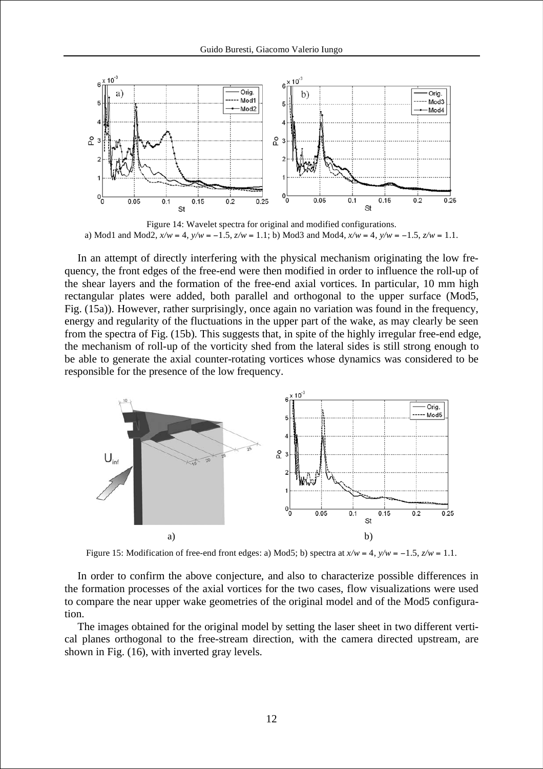

Figure 14: Wavelet spectra for original and modified configurations. a) Mod1 and Mod2,  $x/w = 4$ ,  $y/w = -1.5$ ,  $z/w = 1.1$ ; b) Mod3 and Mod4,  $x/w = 4$ ,  $y/w = -1.5$ ,  $z/w = 1.1$ .

In an attempt of directly interfering with the physical mechanism originating the low frequency, the front edges of the free-end were then modified in order to influence the roll-up of the shear layers and the formation of the free-end axial vortices. In particular, 10 mm high rectangular plates were added, both parallel and orthogonal to the upper surface (Mod5, Fig. (15a)). However, rather surprisingly, once again no variation was found in the frequency, energy and regularity of the fluctuations in the upper part of the wake, as may clearly be seen from the spectra of Fig. (15b). This suggests that, in spite of the highly irregular free-end edge, the mechanism of roll-up of the vorticity shed from the lateral sides is still strong enough to be able to generate the axial counter-rotating vortices whose dynamics was considered to be responsible for the presence of the low frequency.



Figure 15: Modification of free-end front edges: a) Mod5; b) spectra at  $x/w = 4$ ,  $y/w = -1.5$ ,  $z/w = 1.1$ .

In order to confirm the above conjecture, and also to characterize possible differences in the formation processes of the axial vortices for the two cases, flow visualizations were used to compare the near upper wake geometries of the original model and of the Mod5 configuration.

The images obtained for the original model by setting the laser sheet in two different vertical planes orthogonal to the free-stream direction, with the camera directed upstream, are shown in Fig. (16), with inverted gray levels.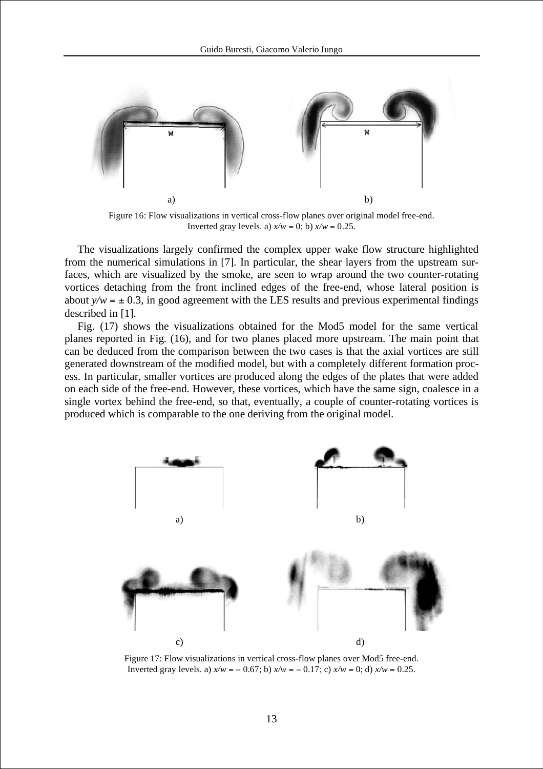

Figure 16: Flow visualizations in vertical cross-flow planes over original model free-end. Inverted gray levels. a)  $x/w = 0$ ; b)  $x/w = 0.25$ .

The visualizations largely confirmed the complex upper wake flow structure highlighted from the numerical simulations in [7]. In particular, the shear layers from the upstream surfaces, which are visualized by the smoke, are seen to wrap around the two counter-rotating vortices detaching from the front inclined edges of the free-end, whose lateral position is about  $y/w = \pm 0.3$ , in good agreement with the LES results and previous experimental findings described in [1].

Fig. (17) shows the visualizations obtained for the Mod5 model for the same vertical planes reported in Fig. (16), and for two planes placed more upstream. The main point that can be deduced from the comparison between the two cases is that the axial vortices are still generated downstream of the modified model, but with a completely different formation process. In particular, smaller vortices are produced along the edges of the plates that were added on each side of the free-end. However, these vortices, which have the same sign, coalesce in a single vortex behind the free-end, so that, eventually, a couple of counter-rotating vortices is produced which is comparable to the one deriving from the original model.



Figure 17: Flow visualizations in vertical cross-flow planes over Mod5 free-end. Inverted gray levels. a)  $x/w = -0.67$ ; b)  $x/w = -0.17$ ; c)  $x/w = 0$ ; d)  $x/w = 0.25$ .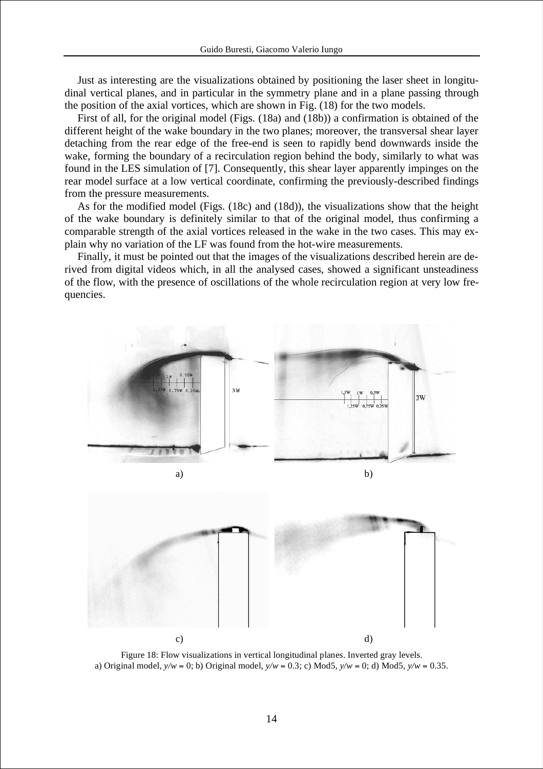Just as interesting are the visualizations obtained by positioning the laser sheet in longitudinal vertical planes, and in particular in the symmetry plane and in a plane passing through the position of the axial vortices, which are shown in Fig. (18) for the two models.

First of all, for the original model (Figs. (18a) and (18b)) a confirmation is obtained of the different height of the wake boundary in the two planes; moreover, the transversal shear layer detaching from the rear edge of the free-end is seen to rapidly bend downwards inside the wake, forming the boundary of a recirculation region behind the body, similarly to what was found in the LES simulation of [7]. Consequently, this shear layer apparently impinges on the rear model surface at a low vertical coordinate, confirming the previously-described findings from the pressure measurements.

As for the modified model (Figs. (18c) and (18d)), the visualizations show that the height of the wake boundary is definitely similar to that of the original model, thus confirming a comparable strength of the axial vortices released in the wake in the two cases. This may explain why no variation of the LF was found from the hot-wire measurements.

Finally, it must be pointed out that the images of the visualizations described herein are derived from digital videos which, in all the analysed cases, showed a significant unsteadiness of the flow, with the presence of oscillations of the whole recirculation region at very low frequencies.



Figure 18: Flow visualizations in vertical longitudinal planes. Inverted gray levels. a) Original model,  $\psi/w = 0$ ; b) Original model,  $\psi/w = 0.3$ ; c) Mod5,  $\psi/w = 0$ ; d) Mod5,  $\psi/w = 0.35$ .

c)  $\qquad \qquad d)$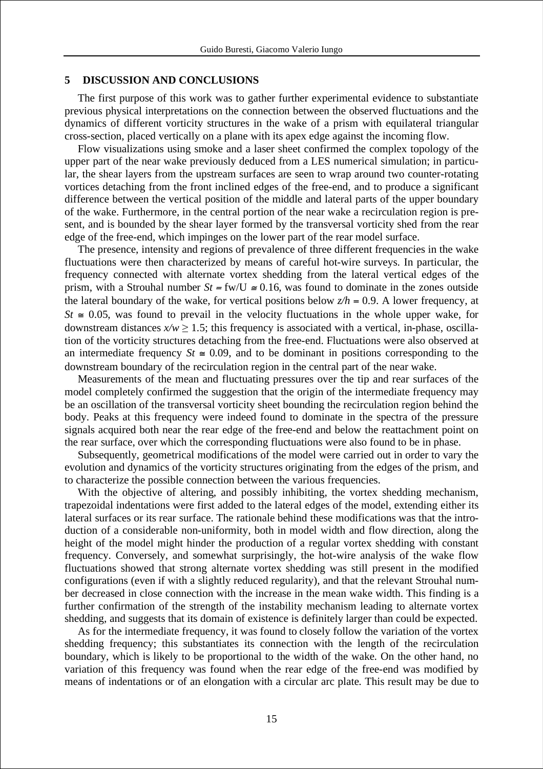### **5 DISCUSSION AND CONCLUSIONS**

The first purpose of this work was to gather further experimental evidence to substantiate previous physical interpretations on the connection between the observed fluctuations and the dynamics of different vorticity structures in the wake of a prism with equilateral triangular cross-section, placed vertically on a plane with its apex edge against the incoming flow.

Flow visualizations using smoke and a laser sheet confirmed the complex topology of the upper part of the near wake previously deduced from a LES numerical simulation; in particular, the shear layers from the upstream surfaces are seen to wrap around two counter-rotating vortices detaching from the front inclined edges of the free-end, and to produce a significant difference between the vertical position of the middle and lateral parts of the upper boundary of the wake. Furthermore, in the central portion of the near wake a recirculation region is present, and is bounded by the shear layer formed by the transversal vorticity shed from the rear edge of the free-end, which impinges on the lower part of the rear model surface.

The presence, intensity and regions of prevalence of three different frequencies in the wake fluctuations were then characterized by means of careful hot-wire surveys. In particular, the frequency connected with alternate vortex shedding from the lateral vertical edges of the prism, with a Strouhal number  $St = fw/U \approx 0.16$ , was found to dominate in the zones outside the lateral boundary of the wake, for vertical positions below  $z/h = 0.9$ . A lower frequency, at  $St \approx 0.05$ , was found to prevail in the velocity fluctuations in the whole upper wake, for downstream distances  $x/w > 1.5$ ; this frequency is associated with a vertical, in-phase, oscillation of the vorticity structures detaching from the free-end. Fluctuations were also observed at an intermediate frequency  $St \approx 0.09$ , and to be dominant in positions corresponding to the downstream boundary of the recirculation region in the central part of the near wake.

Measurements of the mean and fluctuating pressures over the tip and rear surfaces of the model completely confirmed the suggestion that the origin of the intermediate frequency may be an oscillation of the transversal vorticity sheet bounding the recirculation region behind the body. Peaks at this frequency were indeed found to dominate in the spectra of the pressure signals acquired both near the rear edge of the free-end and below the reattachment point on the rear surface, over which the corresponding fluctuations were also found to be in phase.

Subsequently, geometrical modifications of the model were carried out in order to vary the evolution and dynamics of the vorticity structures originating from the edges of the prism, and to characterize the possible connection between the various frequencies.

With the objective of altering, and possibly inhibiting, the vortex shedding mechanism, trapezoidal indentations were first added to the lateral edges of the model, extending either its lateral surfaces or its rear surface. The rationale behind these modifications was that the introduction of a considerable non-uniformity, both in model width and flow direction, along the height of the model might hinder the production of a regular vortex shedding with constant frequency. Conversely, and somewhat surprisingly, the hot-wire analysis of the wake flow fluctuations showed that strong alternate vortex shedding was still present in the modified configurations (even if with a slightly reduced regularity), and that the relevant Strouhal number decreased in close connection with the increase in the mean wake width. This finding is a further confirmation of the strength of the instability mechanism leading to alternate vortex shedding, and suggests that its domain of existence is definitely larger than could be expected.

As for the intermediate frequency, it was found to closely follow the variation of the vortex shedding frequency; this substantiates its connection with the length of the recirculation boundary, which is likely to be proportional to the width of the wake. On the other hand, no variation of this frequency was found when the rear edge of the free-end was modified by means of indentations or of an elongation with a circular arc plate. This result may be due to